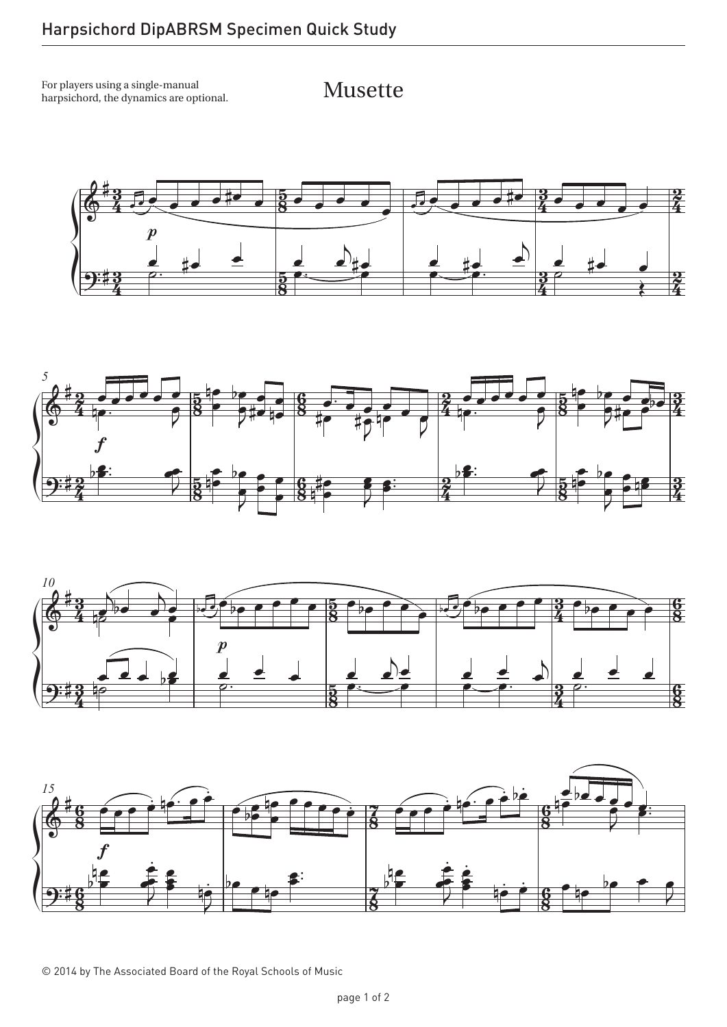For players using a single-manual harpsichord, the dynamics are optional.